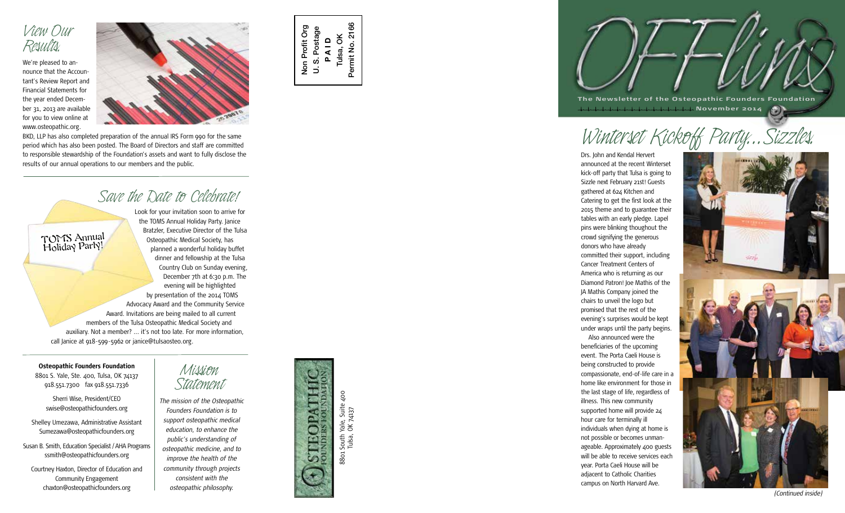

*r* (*vauwua,*<br>We're pleased to announce that the Accoun tant's Review Report and Financial Statements for the year ended Decem ber 31, 2013 are available for you to view online at www.osteopathic.org.



BKD, LLP has also completed preparation of the annual IRS Form 990 for the same period which has also been posted. The Board of Directors and staff are committed to responsible stewardship of the Foundation's assets and want to fully disclose the results of our annual operations to our members and the public.

*Look C WW W COWDTWW i*<br>Look for your invitation soon to arrive for the TOMS Annual Holiday Party. Janice Bratzler, Executive Director of the Tulsa Osteopathic Medical Society, has planned a wonderful holiday buffet dinner and fellowship at the Tulsa Country Club on Sunday evening, December 7th at 6:30 p.m. The evening will be highlighted by presentation of the 2014 TOMS Advocacy Award and the Community Service Award. Invitations are being mailed to all current members of the Tulsa Osteopathic Medical Society and auxiliary. Not a member? ... it's not too late. For more information, call Janice at 918-599-5962 or janice@tulsaosteo.org. TOMS Annual Holiday Party!

### **Osteopathic Founders Foundation**

8801 S. Yale, Ste. 400, Tulsa, OK 74137 918.551.7300 fax 918.551.7336

Sherri Wise, President/CEO swise@osteopathicfounders.org

Shelley Umezawa, Administrative Assistant Sumezawa@osteopathicfounders.org

Susan B. Smith, Education Specialist / AHA Programs ssmith@osteopathicfounders.org

Courtney Haxton, Director of Education and Community Engagement chaxton@osteopathicfounders.org

## *Mission*

*Statement The mission of the Osteopathic Founders Foundation is to support osteopathic medical education, to enhance the public's understanding of osteopathic medicine, and to improve the health of the community through projects consistent with the osteopathic philosophy.*



Non Profit Org U. S. Postage **P A I D** Tulsa, OK Permit No. 2166

Non Profit Org U.S. Postage 2166

Permit No.

Tulsa, OK 74137

**The Newsletter of the Osteopathic Founders Foundation November 2014** C)

# *Winterset Kickoff Party...Sizzles.*

Drs. John and Kendal Hervert announced at the recent Winterset kick-off party that Tulsa is going to Sizzle next February 21st! Guests gathered at 624 Kitchen and Catering to get the first look at the 2015 theme and to guarantee their tables with an early pledge. Lapel pins were blinking thoughout the crowd signifying the generous donors who have already committed their support, including Cancer Treatment Centers of America who is returning as our Diamond Patron! Joe Mathis of the JA Mathis Company joined the chairs to unveil the logo but promised that the rest of the evening's surprises would be kept under wraps until the party begins. Also announced were the beneficiaries of the upcoming event. The Porta Caeli House is being constructed to provide compassionate, end-of-life care in a home like environment for those in the last stage of life, regardless of illness. This new community supported home will provide 24 hour care for terminally ill individuals when dying at home is not possible or becomes unman ageable. Approximately 400 guests will be able to receive services each year. Porta Caeli House will be adjacent to Catholic Charities campus on North Harvard Ave.